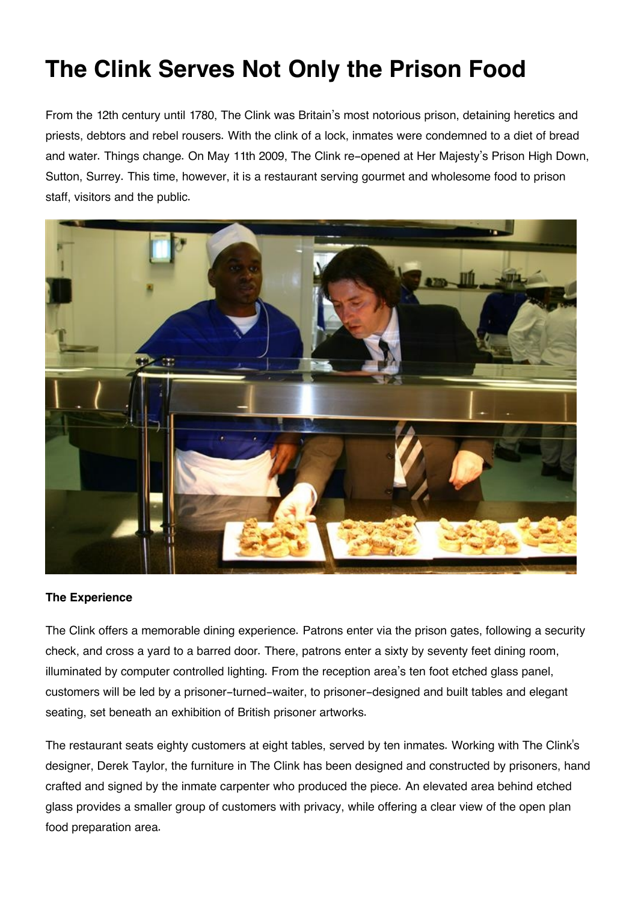## **The Clink Serves Not Only the Prison Food**

From the 12th century until 1780, The Clink was Britain's most notorious prison, detaining heretics and priests, debtors and rebel rousers. With the clink of a lock, inmates were condemned to a diet of bread and water. Things change. On May 11th 2009, The Clink re-opened at Her Majesty's Prison High Down, Sutton, Surrey. This time, however, it is a restaurant serving gourmet and wholesome food to prison staff, visitors and the public.



## **The Experience**

The Clink offers a memorable dining experience. Patrons enter via the prison gates, following a security check, and cross a yard to a barred door. There, patrons enter a sixty by seventy feet dining room, illuminated by computer controlled lighting. From the reception area's ten foot etched glass panel, customers will be led by a prisoner-turned-waiter, to prisoner-designed and built tables and elegant seating, set beneath an exhibition of British prisoner artworks.

The restaurant seats eighty customers at eight tables, served by ten inmates. Working with The Clink's designer, Derek Taylor, the furniture in The Clink has been designed and constructed by prisoners, hand crafted and signed by the inmate carpenter who produced the piece. An elevated area behind etched glass provides a smaller group of customers with privacy, while offering a clear view of the open plan food preparation area.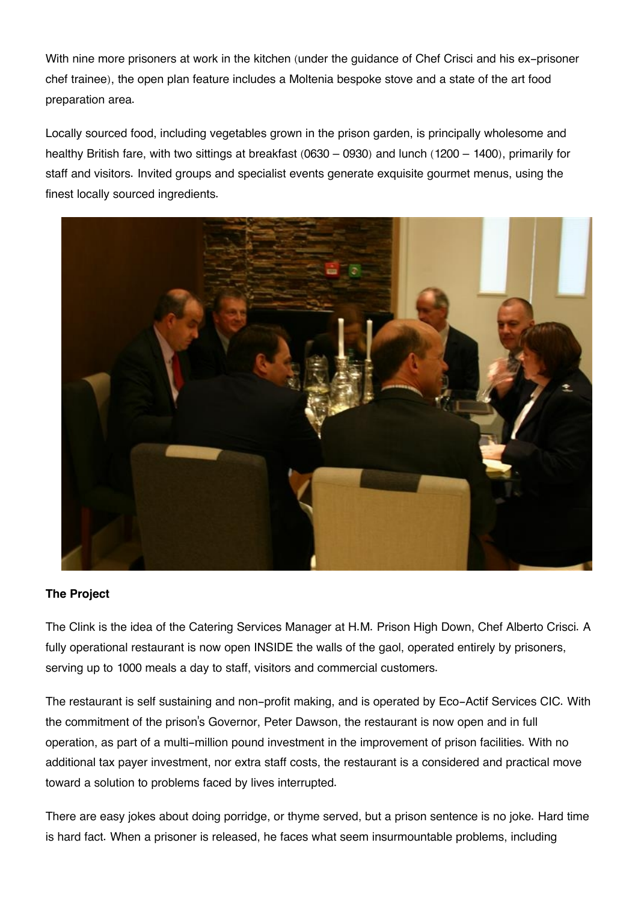With nine more prisoners at work in the kitchen (under the guidance of Chef Crisci and his ex-prisoner chef trainee), the open plan feature includes a Moltenia bespoke stove and a state of the art food preparation area.

Locally sourced food, including vegetables grown in the prison garden, is principally wholesome and healthy British fare, with two sittings at breakfast (0630 – 0930) and lunch (1200 – 1400), primarily for staff and visitors. Invited groups and specialist events generate exquisite gourmet menus, using the finest locally sourced ingredients.



## **The Project**

The Clink is the idea of the Catering Services Manager at H.M. Prison High Down, Chef Alberto Crisci. A fully operational restaurant is now open INSIDE the walls of the gaol, operated entirely by prisoners, serving up to 1000 meals a day to staff, visitors and commercial customers.

The restaurant is self sustaining and non-profit making, and is operated by Eco-Actif Services CIC. With the commitment of the prison's Governor, Peter Dawson, the restaurant is now open and in full operation, as part of a multi-million pound investment in the improvement of prison facilities. With no additional tax payer investment, nor extra staff costs, the restaurant is a considered and practical move toward a solution to problems faced by lives interrupted.

There are easy jokes about doing porridge, or thyme served, but a prison sentence is no joke. Hard time is hard fact. When a prisoner is released, he faces what seem insurmountable problems, including